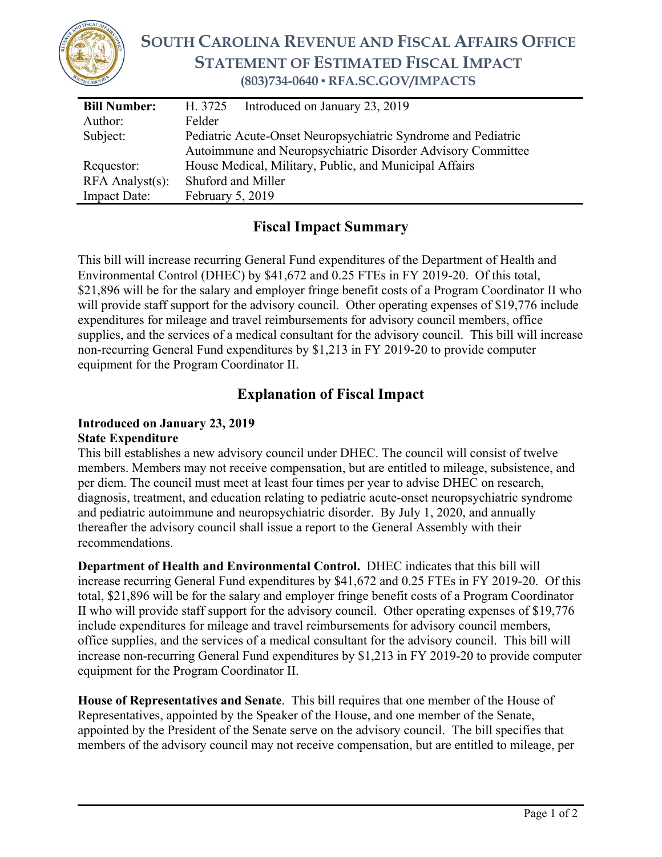

## **SOUTH CAROLINA REVENUE AND FISCAL AFFAIRS OFFICE STATEMENT OF ESTIMATED FISCAL IMPACT (803)734-0640 ▪ RFA.SC.GOV/IMPACTS**

| <b>Bill Number:</b>   | H. 3725<br>Introduced on January 23, 2019                     |
|-----------------------|---------------------------------------------------------------|
| Author:               | Felder                                                        |
| Subject:              | Pediatric Acute-Onset Neuropsychiatric Syndrome and Pediatric |
|                       | Autoimmune and Neuropsychiatric Disorder Advisory Committee   |
| Requestor:            | House Medical, Military, Public, and Municipal Affairs        |
| $RFA$ Analyst $(s)$ : | Shuford and Miller                                            |
| <b>Impact Date:</b>   | February 5, 2019                                              |

## **Fiscal Impact Summary**

This bill will increase recurring General Fund expenditures of the Department of Health and Environmental Control (DHEC) by \$41,672 and 0.25 FTEs in FY 2019-20. Of this total, \$21,896 will be for the salary and employer fringe benefit costs of a Program Coordinator II who will provide staff support for the advisory council. Other operating expenses of \$19,776 include expenditures for mileage and travel reimbursements for advisory council members, office supplies, and the services of a medical consultant for the advisory council. This bill will increase non-recurring General Fund expenditures by \$1,213 in FY 2019-20 to provide computer equipment for the Program Coordinator II.

## **Explanation of Fiscal Impact**

## **Introduced on January 23, 2019 State Expenditure**

This bill establishes a new advisory council under DHEC. The council will consist of twelve members. Members may not receive compensation, but are entitled to mileage, subsistence, and per diem. The council must meet at least four times per year to advise DHEC on research, diagnosis, treatment, and education relating to pediatric acute-onset neuropsychiatric syndrome and pediatric autoimmune and neuropsychiatric disorder. By July 1, 2020, and annually thereafter the advisory council shall issue a report to the General Assembly with their recommendations.

**Department of Health and Environmental Control.** DHEC indicates that this bill will increase recurring General Fund expenditures by \$41,672 and 0.25 FTEs in FY 2019-20. Of this total, \$21,896 will be for the salary and employer fringe benefit costs of a Program Coordinator II who will provide staff support for the advisory council. Other operating expenses of \$19,776 include expenditures for mileage and travel reimbursements for advisory council members, office supplies, and the services of a medical consultant for the advisory council. This bill will increase non-recurring General Fund expenditures by \$1,213 in FY 2019-20 to provide computer equipment for the Program Coordinator II.

**House of Representatives and Senate**. This bill requires that one member of the House of Representatives, appointed by the Speaker of the House, and one member of the Senate, appointed by the President of the Senate serve on the advisory council. The bill specifies that members of the advisory council may not receive compensation, but are entitled to mileage, per